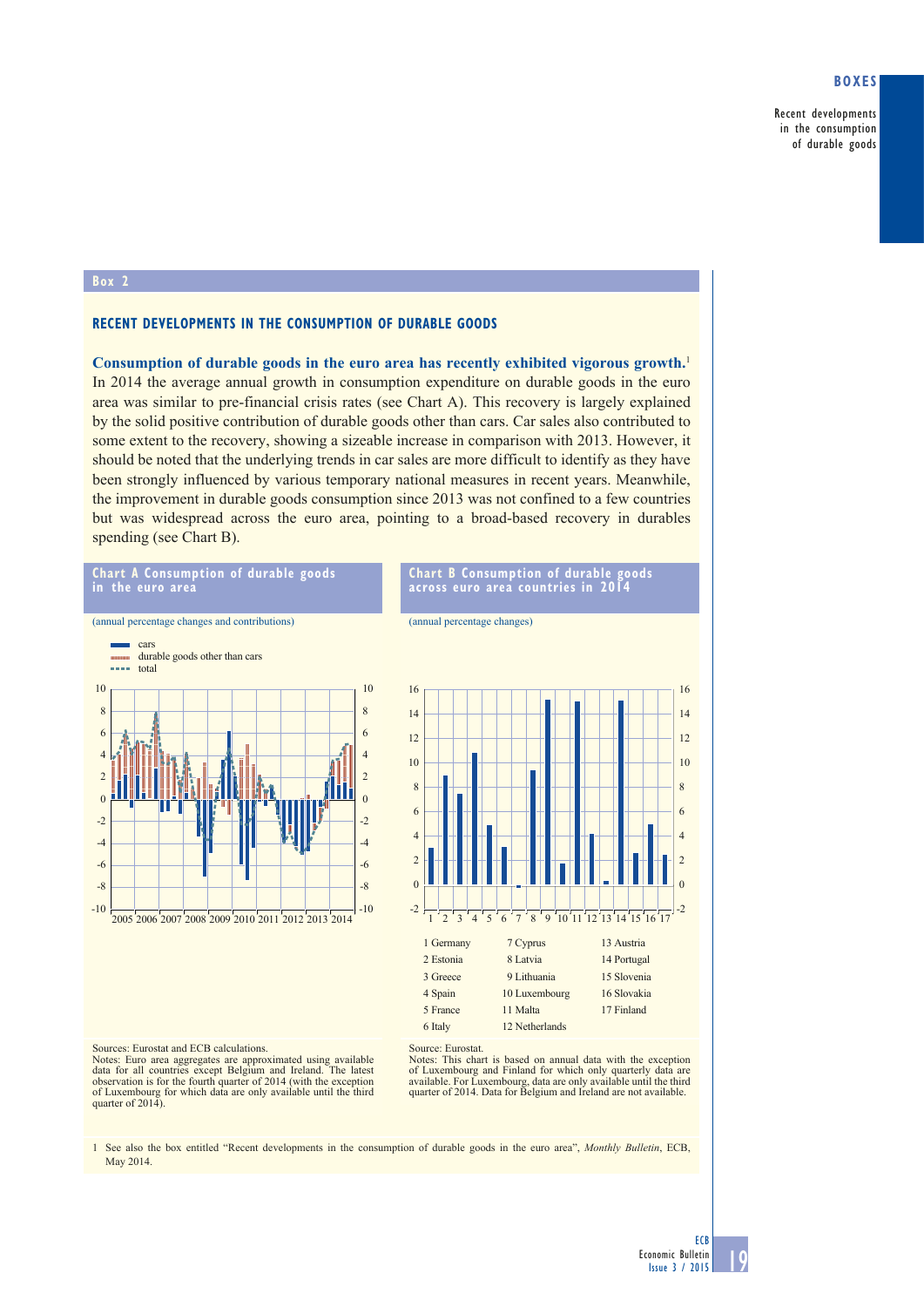## **Boxes**

Recent developments in the consumption of durable goods

### **Box 2**

## **RECENT DEVELOPMENTS IN THE CONSUMPTION OF DURABLE GOODS**

**Consumption of durable goods in the euro area has recently exhibited vigorous growth.**<sup>1</sup> In 2014 the average annual growth in consumption expenditure on durable goods in the euro area was similar to pre-financial crisis rates (see Chart A). This recovery is largely explained by the solid positive contribution of durable goods other than cars. Car sales also contributed to some extent to the recovery, showing a sizeable increase in comparison with 2013. However, it should be noted that the underlying trends in car sales are more difficult to identify as they have been strongly influenced by various temporary national measures in recent years. Meanwhile, the improvement in durable goods consumption since 2013 was not confined to a few countries but was widespread across the euro area, pointing to a broad-based recovery in durables spending (see Chart B).



Notes: Euro area aggregates are approximated using available data for all countries except Belgium and Ireland. The latest observation is for the fourth quarter of 2014 (with the exception of Luxembourg for which data are only available until the third quarter of 2014).

**chart a consumption of durable goods** 

Notes: This chart is based on annual data with the exception of Luxembourg and Finland for which only quarterly data are available. For Luxembourg, data are only available until the third quarter of 2014. Data for Belgium and Ireland are not available.

**chart B consumption of durable goods** 

1 See also the box entitled "Recent developments in the consumption of durable goods in the euro area", *Monthly Bulletin*, ECB, May 2014.

13 Austria 14 Portugal 15 Slovenia 16 Slovakia 17 Finland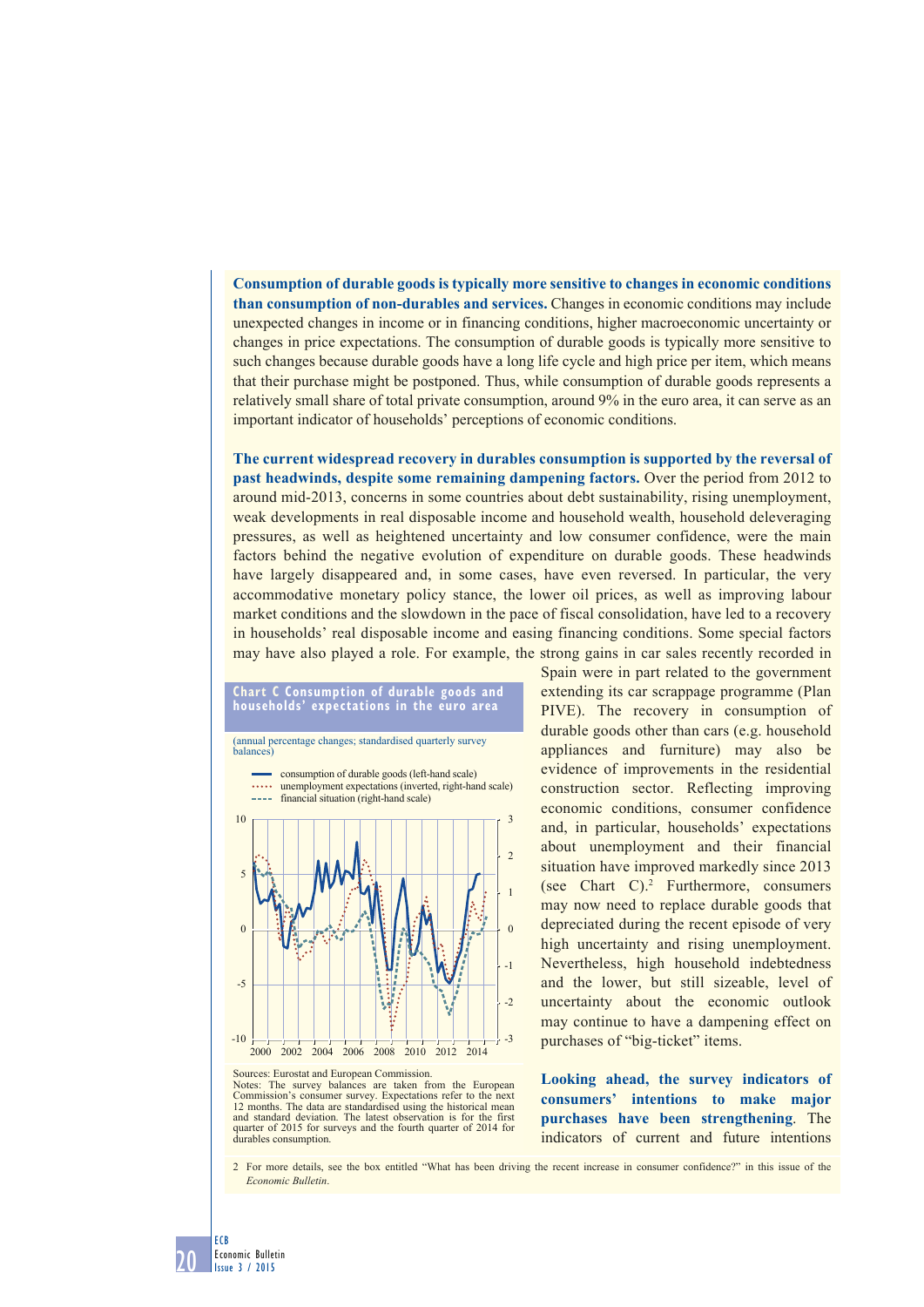**Consumption of durable goods is typically more sensitive to changes in economic conditions than consumption of non-durables and services.** Changes in economic conditions may include unexpected changes in income or in financing conditions, higher macroeconomic uncertainty or changes in price expectations. The consumption of durable goods is typically more sensitive to such changes because durable goods have a long life cycle and high price per item, which means that their purchase might be postponed. Thus, while consumption of durable goods represents a relatively small share of total private consumption, around 9% in the euro area, it can serve as an important indicator of households' perceptions of economic conditions.

**The current widespread recovery in durables consumption is supported by the reversal of past headwinds, despite some remaining dampening factors.** Over the period from 2012 to around mid-2013, concerns in some countries about debt sustainability, rising unemployment, weak developments in real disposable income and household wealth, household deleveraging pressures, as well as heightened uncertainty and low consumer confidence, were the main factors behind the negative evolution of expenditure on durable goods. These headwinds have largely disappeared and, in some cases, have even reversed. In particular, the very accommodative monetary policy stance, the lower oil prices, as well as improving labour market conditions and the slowdown in the pace of fiscal consolidation, have led to a recovery in households' real disposable income and easing financing conditions. Some special factors may have also played a role. For example, the strong gains in car sales recently recorded in



Spain were in part related to the government extending its car scrappage programme (Plan PIVE). The recovery in consumption of durable goods other than cars (e.g. household appliances and furniture) may also be evidence of improvements in the residential construction sector. Reflecting improving economic conditions, consumer confidence and, in particular, households' expectations about unemployment and their financial situation have improved markedly since 2013 (see Chart C).2 Furthermore, consumers may now need to replace durable goods that depreciated during the recent episode of very high uncertainty and rising unemployment. Nevertheless, high household indebtedness and the lower, but still sizeable, level of uncertainty about the economic outlook may continue to have a dampening effect on purchases of "big-ticket" items.

**Looking ahead, the survey indicators of consumers' intentions to make major purchases have been strengthening**. The indicators of current and future intentions

Notes: The survey balances are taken from the European Commission's consumer survey. Expectations refer to the next 12 months. The data are standardised using the historical mean and standard deviation. The latest observation is for the first quarter of 2015 for surveys and the fourth quarter of 2014 for durables consumption.

2 For more details, see the box entitled "What has been driving the recent increase in consumer confidence?" in this issue of the *Economic Bulletin*.

20 Economic Bulletin Issue 3 / 2015

ECB